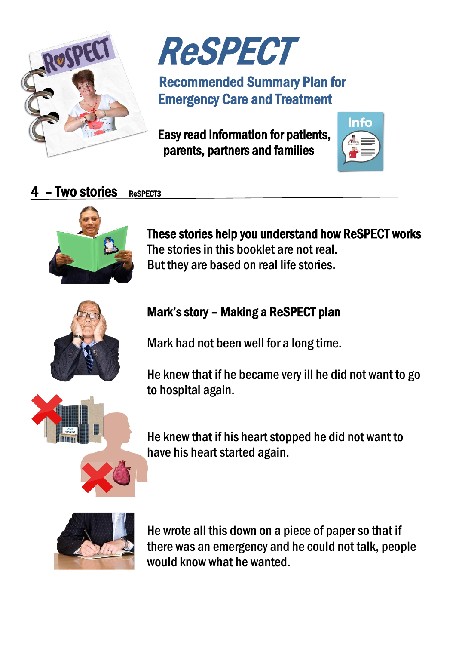



## Recommended Summary Plan for Emergency Care and Treatment

 Easy read information for patients, parents, partners and families



## $4$  – Two stories Respects



These stories help you understand how ReSPECT works The stories in this booklet are not real. But they are based on real life stories.



## Mark's story – Making a ReSPECT plan

Mark had not been well for a long time.

He knew that if he became very ill he did not want to go to hospital again.

He knew that if his heart stopped he did not want to have his heart started again.



He wrote all this down on a piece of paper so that if there was an emergency and he could not talk, people would know what he wanted.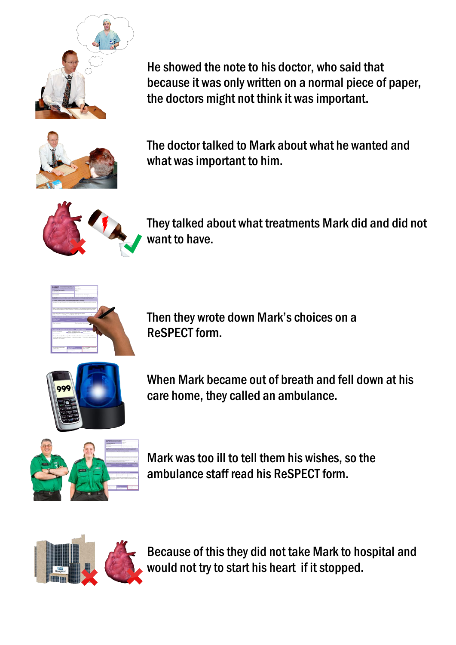

He showed the note to his doctor, who said that because it was only written on a normal piece of paper, the doctors might not think it was important.



The doctor talked to Mark about what he wanted and what was important to him.



They talked about what treatments Mark did and did not want to have.



Then they wrote down Mark's choices on a ReSPECT form.



When Mark became out of breath and fell down at his care home, they called an ambulance.



Mark was too ill to tell them his wishes, so the ambulance staff read his ReSPECT form.



Because of this they did not take Mark to hospital and would not try to start his heart if it stopped.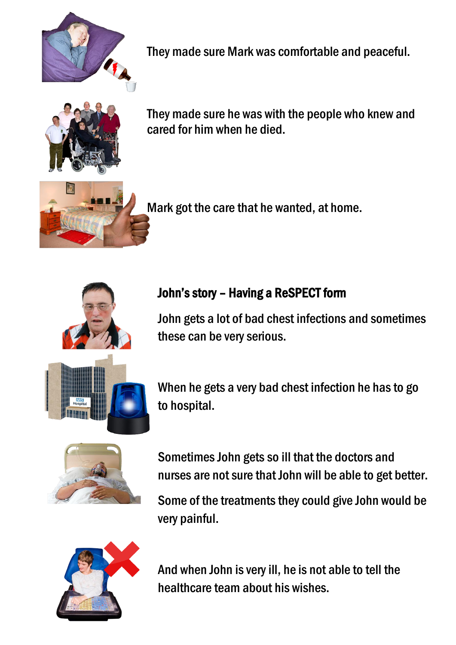

They made sure Mark was comfortable and peaceful.



They made sure he was with the people who knew and cared for him when he died.



Mark got the care that he wanted, at home.



## John's story – Having a ReSPECT form

John gets a lot of bad chest infections and sometimes these can be very serious.

When he gets a very bad chest infection he has to go to hospital.



Sometimes John gets so ill that the doctors and nurses are not sure that John will be able to get better.

Some of the treatments they could give John would be very painful.



And when John is very ill, he is not able to tell the healthcare team about his wishes.